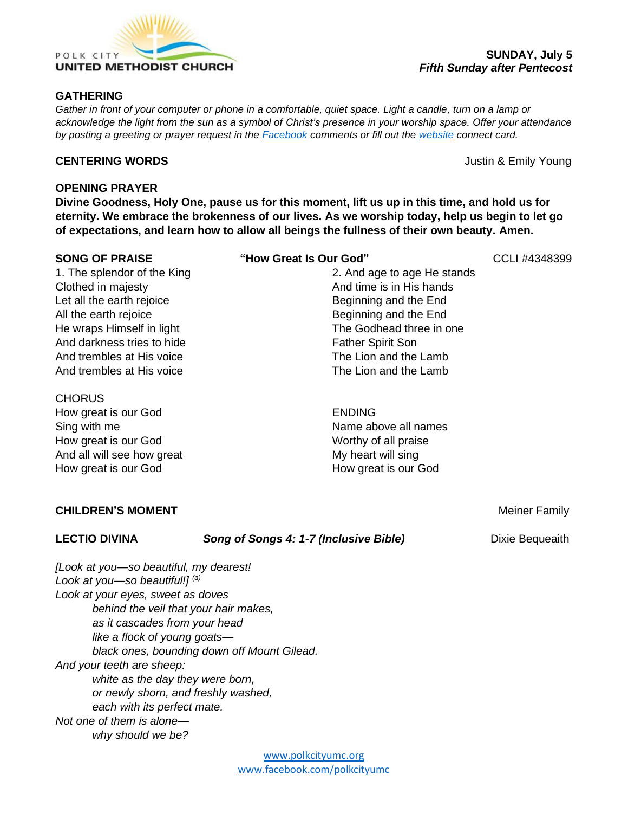

# **GATHERING**

*Gather in front of your computer or phone in a comfortable, quiet space. Light a candle, turn on a lamp or acknowledge the light from the sun as a symbol of Christ's presence in your worship space. Offer your attendance by posting a greeting or prayer request in the [Facebook](https://www.facebook.com/polkcityumc/) comments or fill out the [website](https://www.polkcityumc.org/online-worship) connect card.*

#### **CENTERING WORDS** Justin & Emily Young

**SUNDAY, July 5**

*Fifth Sunday after Pentecost*

#### **OPENING PRAYER**

**Divine Goodness, Holy One, pause us for this moment, lift us up in this time, and hold us for eternity. We embrace the brokenness of our lives. As we worship today, help us begin to let go of expectations, and learn how to allow all beings the fullness of their own beauty. Amen.**

| <b>SONG OF PRAISE</b>       | "How Great Is Our God"      | CCLI #4348399 |
|-----------------------------|-----------------------------|---------------|
| 1. The splendor of the King | 2. And age to age He stands |               |
| Clothed in majesty          | And time is in His hands    |               |
| Let all the earth rejoice   | Beginning and the End       |               |
| All the earth rejoice       | Beginning and the End       |               |
| He wraps Himself in light   | The Godhead three in one    |               |
| And darkness tries to hide  | <b>Father Spirit Son</b>    |               |
| And trembles at His voice   | The Lion and the Lamb       |               |
| And trembles at His voice   | The Lion and the Lamb       |               |
| <b>CHORUS</b>               |                             |               |
| How great is our God        | <b>ENDING</b>               |               |
| Sing with me                | Name above all names        |               |
| How great is our God        | Worthy of all praise        |               |
| And all will see how great  | My heart will sing          |               |
| How great is our God        | How great is our God        |               |

## **CHILDREN'S MOMENT Metallic Structure CHILDREN'S MOMENT Metallic Structure CHILDREN'S Metallic Structure CHILDREN'S**

### **LECTIO DIVINA** *Song of Songs 4: 1-7 (Inclusive Bible)* Dixie Bequeaith

*[Look at you—so beautiful, my dearest! Look at you—so beautiful!] (a) Look at your eyes, sweet as doves behind the veil that your hair makes, as it cascades from your head like a flock of young goats black ones, bounding down off Mount Gilead. And your teeth are sheep: white as the day they were born, or newly shorn, and freshly washed, each with its perfect mate. Not one of them is alone why should we be?*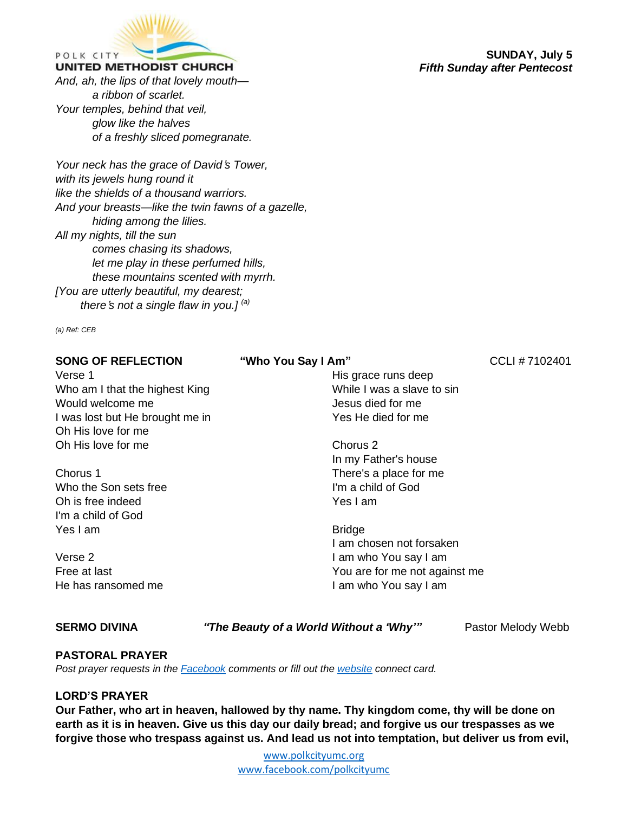

POLK CITY

#### **UNITED METHODIST CHURCH**

*And, ah, the lips of that lovely mouth a ribbon of scarlet. Your temples, behind that veil, glow like the halves of a freshly sliced pomegranate.* 

*Your neck has the grace of David*'*s Tower, with its jewels hung round it like the shields of a thousand warriors. And your breasts—like the twin fawns of a gazelle, hiding among the lilies. All my nights, till the sun comes chasing its shadows, let me play in these perfumed hills, these mountains scented with myrrh. [You are utterly beautiful, my dearest; there*'*s not a single flaw in you.] (a)*

*(a) Ref: CEB*

| <b>SONG OF REFLECTION</b>       | "Who You Say I Am"            | CCLI #7102401 |
|---------------------------------|-------------------------------|---------------|
| Verse 1                         | His grace runs deep           |               |
| Who am I that the highest King  | While I was a slave to sin    |               |
| Would welcome me                | Jesus died for me             |               |
| I was lost but He brought me in | Yes He died for me            |               |
| Oh His love for me              |                               |               |
| Oh His love for me              | Chorus 2                      |               |
|                                 | In my Father's house          |               |
| Chorus 1                        | There's a place for me        |               |
| Who the Son sets free           | I'm a child of God            |               |
| Oh is free indeed               | Yes I am                      |               |
| I'm a child of God              |                               |               |
| Yes I am                        | <b>Bridge</b>                 |               |
|                                 | I am chosen not forsaken      |               |
| Verse 2                         | I am who You say I am         |               |
| Free at last                    | You are for me not against me |               |
| He has ransomed me              | I am who You say I am         |               |

### **SERMO DIVINA** *"The Beauty of a World Without a 'Why'"* Pastor Melody Webb

## **PASTORAL PRAYER**

*Post prayer requests in the [Facebook](https://www.facebook.com/polkcityumc/) comments or fill out the [website](https://www.polkcityumc.org/online-worship) connect card.*

## **LORD'S PRAYER**

**Our Father, who art in heaven, hallowed by thy name. Thy kingdom come, thy will be done on earth as it is in heaven. Give us this day our daily bread; and forgive us our trespasses as we forgive those who trespass against us. And lead us not into temptation, but deliver us from evil,**

**SUNDAY, July 5** *Fifth Sunday after Pentecost*